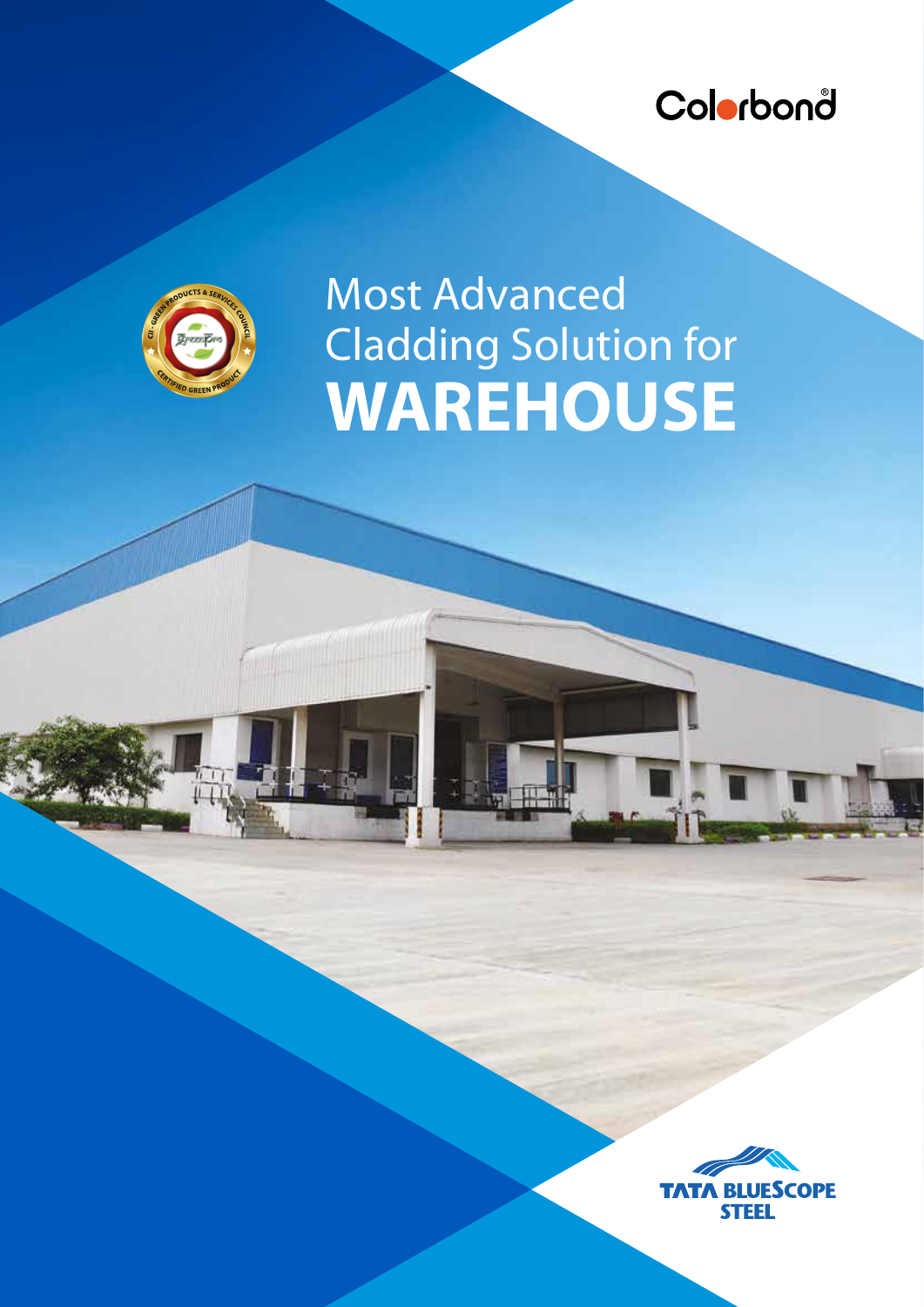



## Most Advanced Cladding Solution for **WAREHOUSE**

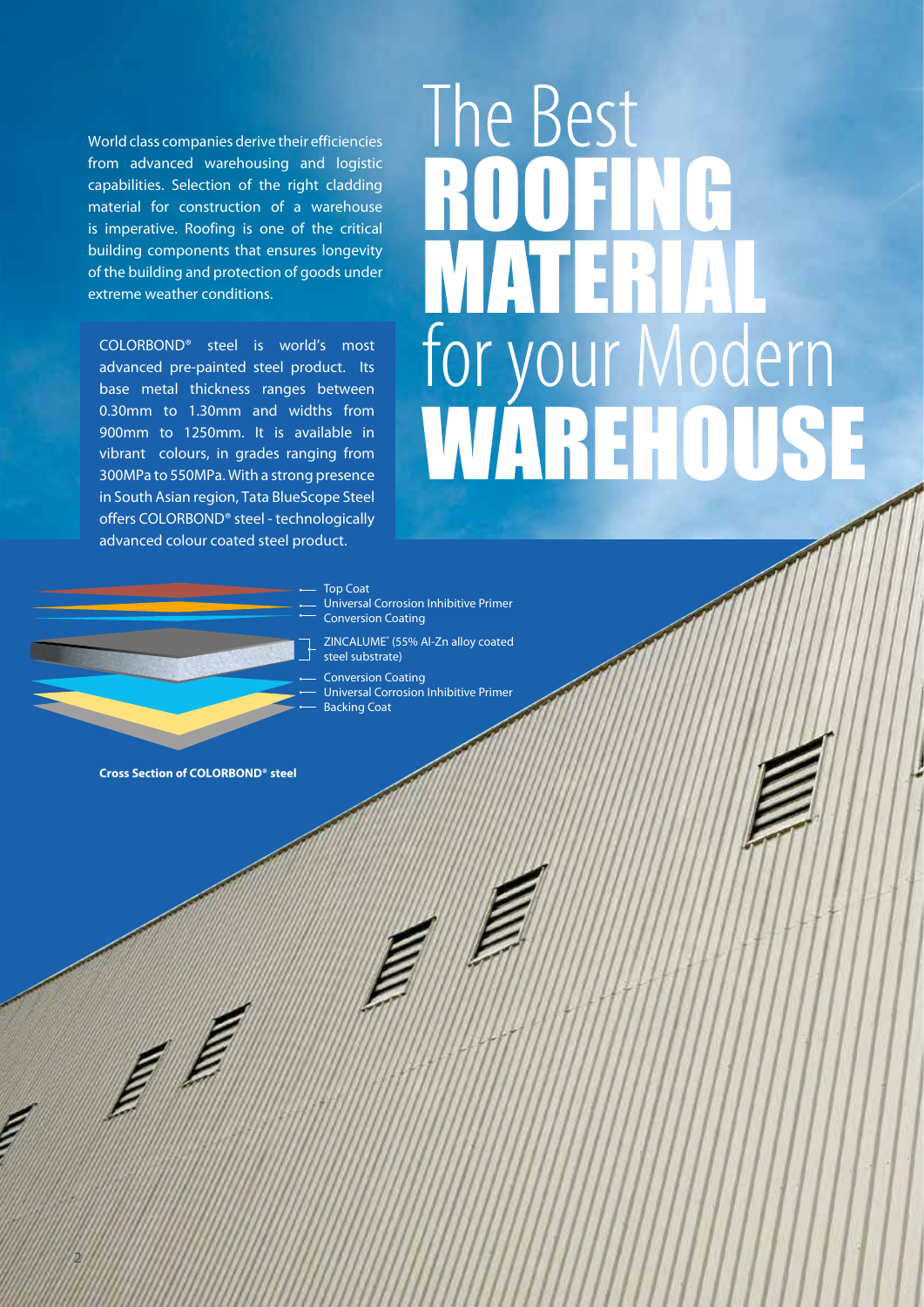World class companies derive their efficiencies from advanced warehousing and logistic capabilities. Selection of the right cladding material for construction of a warehouse is imperative. Roofing is one of the critical building components that ensures longevity of the building and protection of goods under extreme weather conditions.

COLORBOND® steel is world's most advanced pre-painted steel product. Its base metal thickness ranges between 0.30mm to 1.30mm and widths from 900mm to 1250mm. It is available in vibrant colours, in grades ranging from 300MPa to 550MPa. With a strong presence in South Asian region, Tata BlueScope Steel offers COLORBOND® steel - technologically advanced colour coated steel product.

## The Best ROOFING MATERIAL for your Modern WAREHOUSE

#### Top Coat

- Universal Corrosion Inhibitive Primer Conversion Coating
- ZINCALUME® (55% Al-Zn alloy coated steel substrate)
- Conversion Coating Universal Corrosion Inhibitive Primer Backing Coat

**Cross Section of COLORBOND® steel**

2

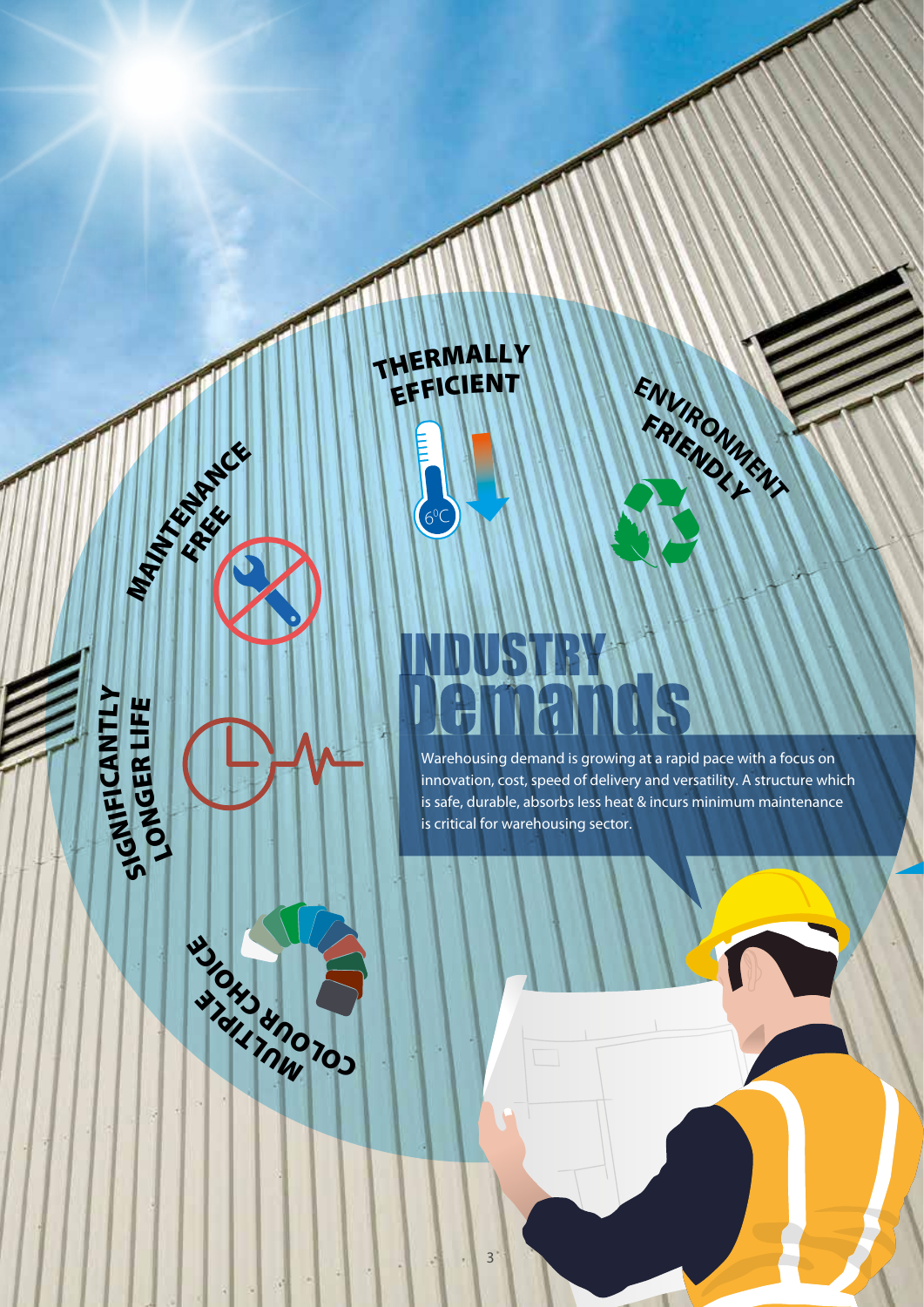THERMALLY<br>EFFICIENT EFFICIENT ENVIRONMENT

> $6^0$ C

#### $\overline{\mathbf{Q}}$ **H**<sub>Z</sub> بیا A N T LY LONG  $\mathbf u$ R t<br>Li w

MAINTENANCE FREE

 $\mathbf{v}$ 

**ALL AND** 

W. OHD UNOT

 $\mathbf{C}^{\bullet}$ 

 $\mathbf{P}_{\mathbf{A}}$ 

# DUSTRY 118

Warehousing demand is growing at a rapid pace with a focus on innovation, cost, speed of delivery and versatility. A structure which is safe, durable, absorbs less heat & incurs minimum maintenance is critical for warehousing sector.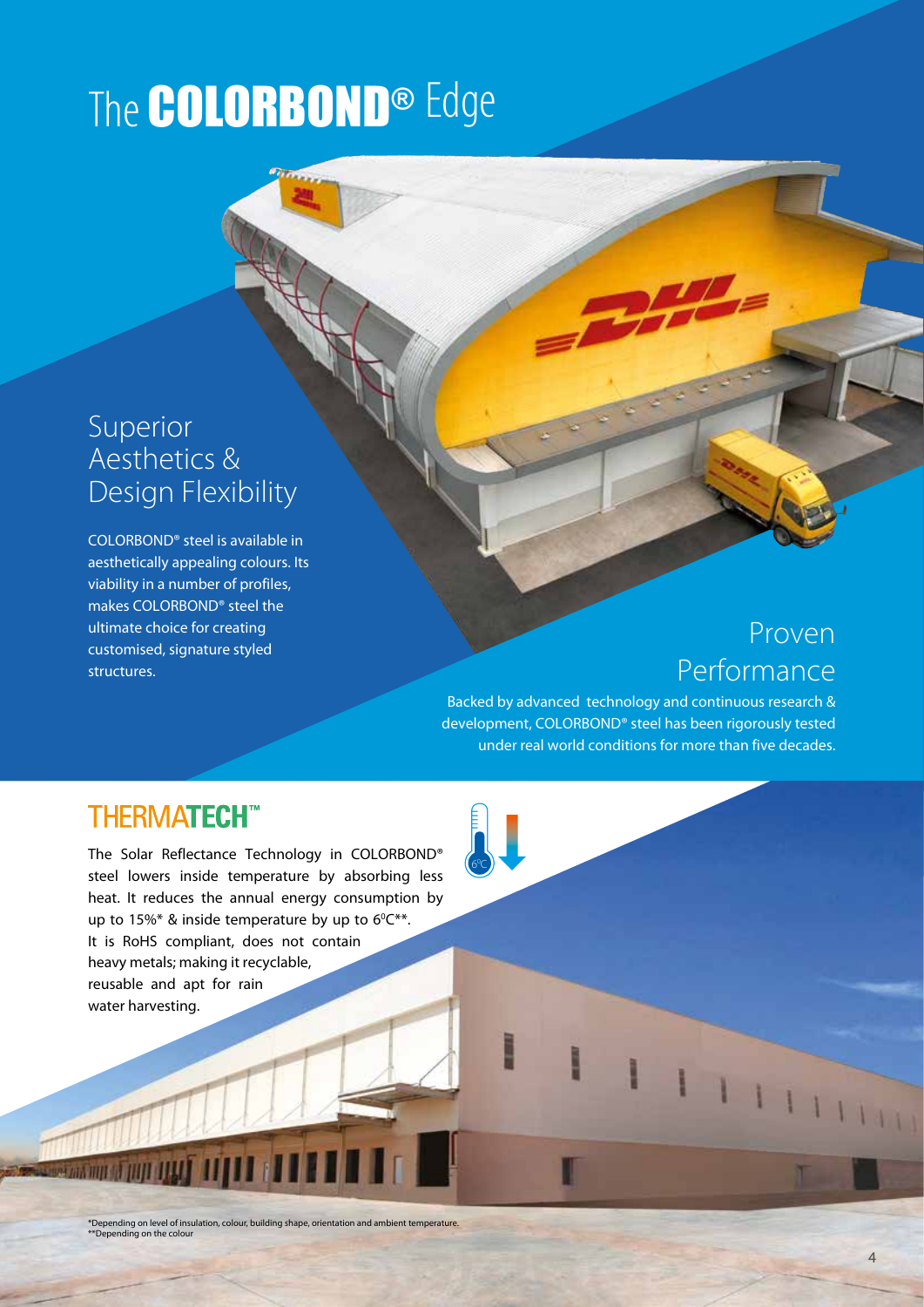## The **COLORBOND®** Edge

#### Superior Aesthetics & Design Flexibility

COLORBOND® steel is available in aesthetically appealing colours. Its viability in a number of profiles, makes COLORBOND® steel the ultimate choice for creating customised, signature styled structures.

### Proven Performance

Backed by advanced technology and continuous research & development, COLORBOND® steel has been rigorously tested under real world conditions for more than five decades.

I

 $\overline{1}$ 

 $6<sup>0</sup>$ C

#### **THERMATECH™**

The Solar Reflectance Technology in COLORBOND® steel lowers inside temperature by absorbing less heat. It reduces the annual energy consumption by up to 15%\* & inside temperature by up to  $6^{\circ}C^{**}$ . It is RoHS compliant, does not contain heavy metals; making it recyclable, reusable and apt for rain water harvesting.

\*Depending on level of insulation, colour, building shape, orientation and ambient temperature. \*\*Depending on the colour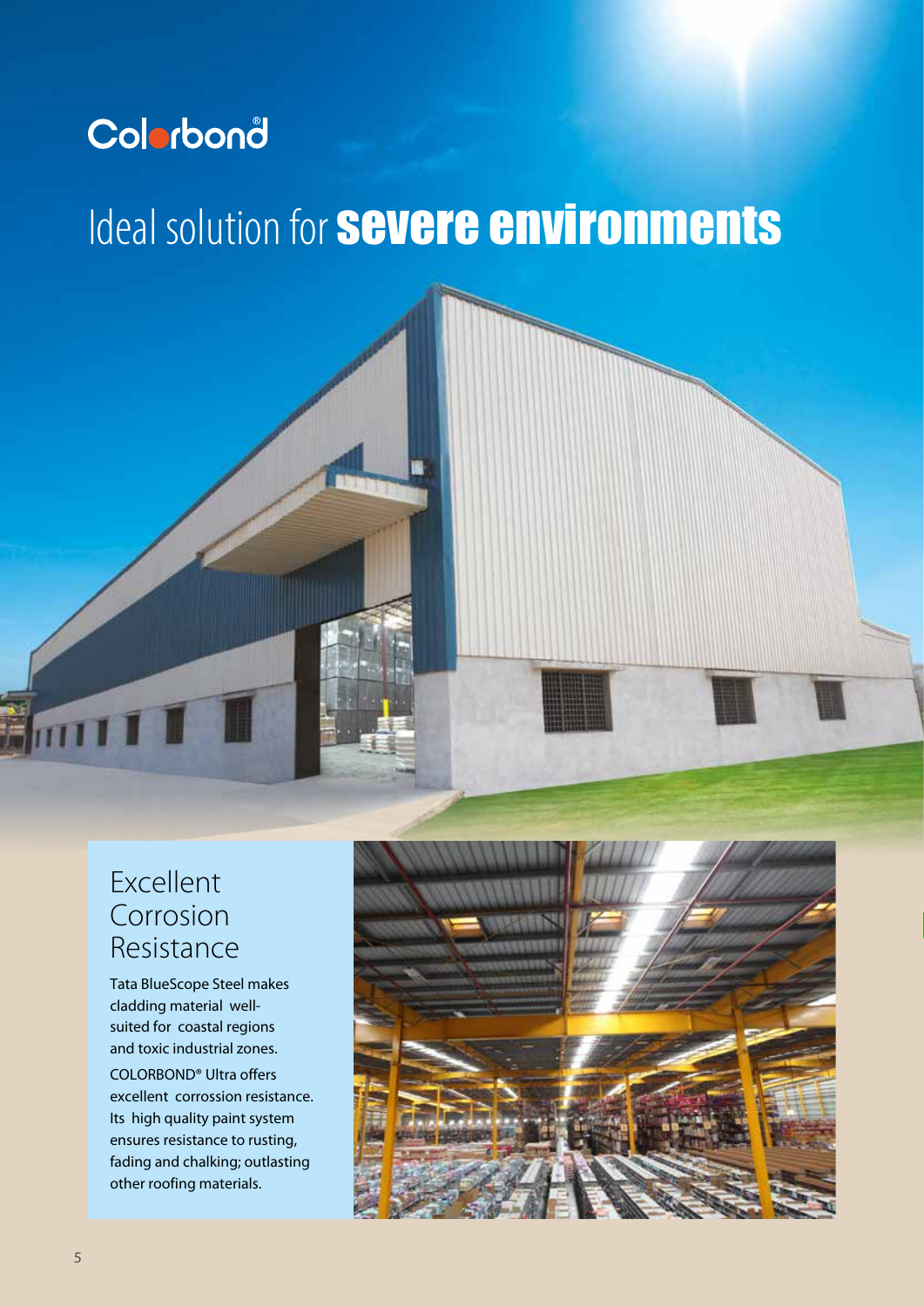## Colorbond

## Ideal solution for **severe environments**

#### Excellent Corrosion Resistance

Tata BlueScope Steel makes cladding material wellsuited for coastal regions and toxic industrial zones. COLORBOND® Ultra offers excellent corrossion resistance. Its high quality paint system ensures resistance to rusting, fading and chalking; outlasting other roofing materials.